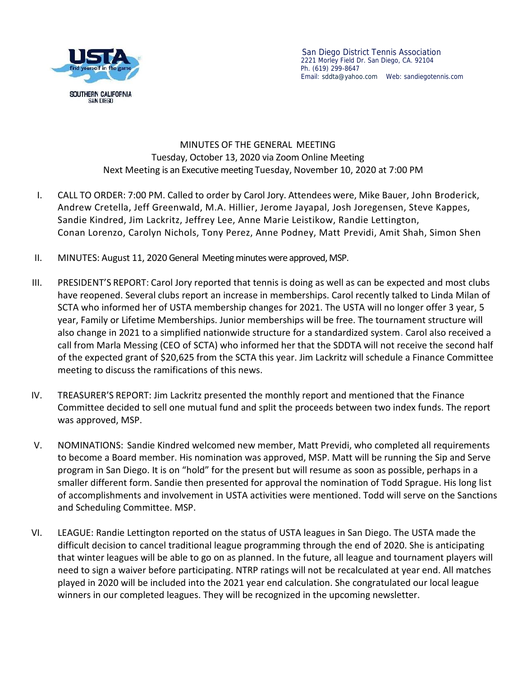

## MINUTES OF THE GENERAL MEETING Tuesday, October 13, 2020 via Zoom Online Meeting Next Meeting is an Executive meeting Tuesday, November 10, 2020 at 7:00 PM

- I. CALL TO ORDER: 7:00 PM.Called to order by Carol Jory. Attendees were, Mike Bauer, John Broderick, Andrew Cretella, Jeff Greenwald, M.A. Hillier, Jerome Jayapal, Josh Joregensen, Steve Kappes, Sandie Kindred, Jim Lackritz, Jeffrey Lee, Anne Marie Leistikow, Randie Lettington, Conan Lorenzo, Carolyn Nichols, Tony Perez, Anne Podney, Matt Previdi, Amit Shah, Simon Shen
- II. MINUTES: August 11, 2020 General Meeting minutes were approved, MSP.
- III. PRESIDENT'S REPORT: Carol Jory reported that tennis is doing as well as can be expected and most clubs have reopened. Several clubs report an increase in memberships. Carol recently talked to Linda Milan of SCTA who informed her of USTA membership changes for 2021. The USTA will no longer offer 3 year, 5 year, Family or Lifetime Memberships. Junior memberships will be free. The tournament structure will also change in 2021 to a simplified nationwide structure for a standardized system. Carol also received a call from Marla Messing (CEO of SCTA) who informed her that the SDDTA will not receive the second half of the expected grant of \$20,625 from the SCTA this year. Jim Lackritz will schedule a Finance Committee meeting to discuss the ramifications of this news.
- IV. TREASURER'S REPORT: Jim Lackritz presented the monthly report and mentioned that the Finance Committee decided to sell one mutual fund and split the proceeds between two index funds. The report was approved, MSP.
- V. NOMINATIONS: Sandie Kindred welcomed new member, Matt Previdi, who completed all requirements to become a Board member. His nomination was approved, MSP. Matt will be running the Sip and Serve program in San Diego. It is on "hold" for the present but will resume as soon as possible, perhaps in a smaller different form. Sandie then presented for approval the nomination of Todd Sprague. His long list of accomplishments and involvement in USTA activities were mentioned. Todd will serve on the Sanctions and Scheduling Committee. MSP.
- VI. LEAGUE: Randie Lettington reported on the status of USTA leagues in San Diego. The USTA made the difficult decision to cancel traditional league programming through the end of 2020. She is anticipating that winter leagues will be able to go on as planned. In the future, all league and tournament players will need to sign a waiver before participating. NTRP ratings will not be recalculated at year end. All matches played in 2020 will be included into the 2021 year end calculation. She congratulated our local league winners in our completed leagues. They will be recognized in the upcoming newsletter.